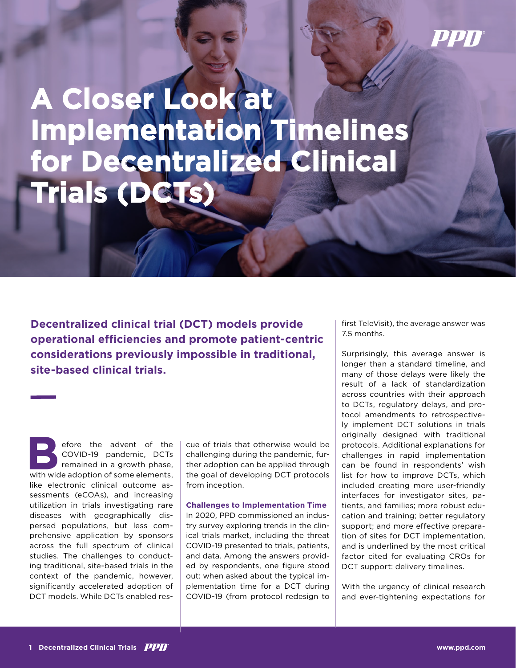## PPN

## **A Closer Look at Implementation Timelines for Decentralized Clinical Trials (DCTs)**

**Decentralized clinical trial (DCT) models provide operational efficiencies and promote patient-centric considerations previously impossible in traditional, site-based clinical trials.**

efore the advent of the COVID-19 pandemic, DCTs remained in a growth phase, with wide adoption of some elements, like electronic clinical outcome assessments (eCOAs), and increasing utilization in trials investigating rare diseases with geographically dispersed populations, but less comprehensive application by sponsors across the full spectrum of clinical studies. The challenges to conducting traditional, site-based trials in the context of the pandemic, however, significantly accelerated adoption of DCT models. While DCTs enabled res-

cue of trials that otherwise would be challenging during the pandemic, further adoption can be applied through the goal of developing DCT protocols from inception.

**Challenges to Implementation Time** In 2020, PPD commissioned an industry survey exploring trends in the clinical trials market, including the threat COVID-19 presented to trials, patients, and data. Among the answers provided by respondents, one figure stood out: when asked about the typical implementation time for a DCT during COVID-19 (from protocol redesign to first TeleVisit), the average answer was 7.5 months.

Surprisingly, this average answer is longer than a standard timeline, and many of those delays were likely the result of a lack of standardization across countries with their approach to DCTs, regulatory delays, and protocol amendments to retrospectively implement DCT solutions in trials originally designed with traditional protocols. Additional explanations for challenges in rapid implementation can be found in respondents' wish list for how to improve DCTs, which included creating more user-friendly interfaces for investigator sites, patients, and families; more robust education and training; better regulatory support; and more effective preparation of sites for DCT implementation, and is underlined by the most critical factor cited for evaluating CROs for DCT support: delivery timelines.

With the urgency of clinical research and ever-tightening expectations for